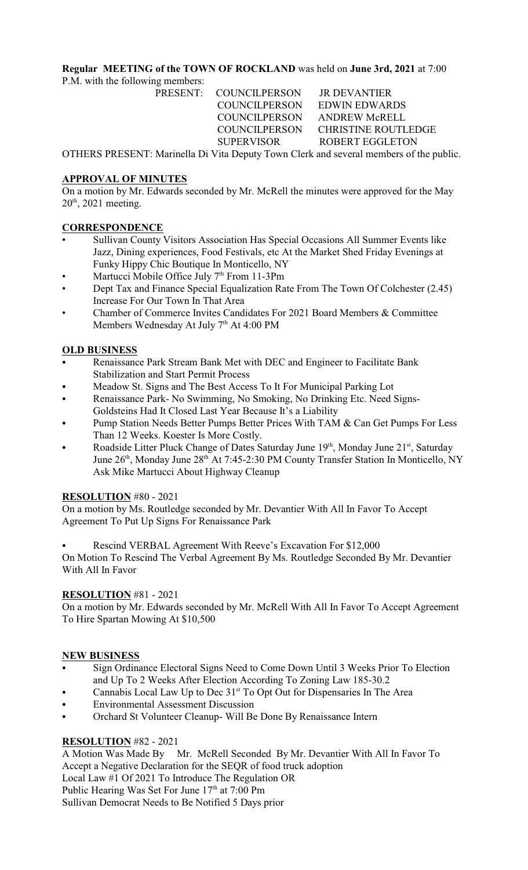## **Regular MEETING of the TOWN OF ROCKLAND** was held on **June 3rd, 2021** at 7:00

P.M. with the following members:

PRESENT: COUNCILPERSON JR DEVANTIER COUNCILPERSON EDWIN EDWARDS COUNCILPERSON ANDREW McRELL SUPERVISOR ROBERT EGGLETON

COUNCILPERSON CHRISTINE ROUTLEDGE

OTHERS PRESENT: Marinella Di Vita Deputy Town Clerk and several members of the public.

## **APPROVAL OF MINUTES**

On a motion by Mr. Edwards seconded by Mr. McRell the minutes were approved for the May  $20<sup>th</sup>$ , 2021 meeting.

# **CORRESPONDENCE**

- Sullivan County Visitors Association Has Special Occasions All Summer Events like Jazz, Dining experiences, Food Festivals, etc At the Market Shed Friday Evenings at Funky Hippy Chic Boutique In Monticello, NY
- Martucci Mobile Office July  $7<sup>th</sup>$  From 11-3Pm
- Dept Tax and Finance Special Equalization Rate From The Town Of Colchester (2.45) Increase For Our Town In That Area
- Chamber of Commerce Invites Candidates For 2021 Board Members & Committee Members Wednesday At July  $7<sup>th</sup>$  At 4:00 PM

# **OLD BUSINESS**

- Renaissance Park Stream Bank Met with DEC and Engineer to Facilitate Bank Stabilization and Start Permit Process
- Meadow St. Signs and The Best Access To It For Municipal Parking Lot
- Renaissance Park- No Swimming, No Smoking, No Drinking Etc. Need Signs-Goldsteins Had It Closed Last Year Because It's a Liability
- Pump Station Needs Better Pumps Better Prices With TAM & Can Get Pumps For Less Than 12 Weeks. Koester Is More Costly.
- Roadside Litter Pluck Change of Dates Saturday June 19<sup>th</sup>, Monday June 21<sup>st</sup>, Saturday June 26<sup>th</sup>, Monday June 28<sup>th</sup> At 7:45-2:30 PM County Transfer Station In Monticello, NY Ask Mike Martucci About Highway Cleanup

# **RESOLUTION** #80 - 2021

On a motion by Ms. Routledge seconded by Mr. Devantier With All In Favor To Accept Agreement To Put Up Signs For Renaissance Park

Rescind VERBAL Agreement With Reeve's Excavation For \$12,000

On Motion To Rescind The Verbal Agreement By Ms. Routledge Seconded By Mr. Devantier With All In Favor

# **RESOLUTION** #81 - 2021

On a motion by Mr. Edwards seconded by Mr. McRell With All In Favor To Accept Agreement To Hire Spartan Mowing At \$10,500

# **NEW BUSINESS**

- Sign Ordinance Electoral Signs Need to Come Down Until 3 Weeks Prior To Election and Up To 2 Weeks After Election According To Zoning Law 185-30.2
- Cannabis Local Law Up to Dec 31<sup>st</sup> To Opt Out for Dispensaries In The Area
- Environmental Assessment Discussion
- Orchard St Volunteer Cleanup- Will Be Done By Renaissance Intern

# **RESOLUTION** #82 - 2021

A Motion Was Made By Mr. McRell Seconded By Mr. Devantier With All In Favor To Accept a Negative Declaration for the SEQR of food truck adoption Local Law #1 Of 2021 To Introduce The Regulation OR Public Hearing Was Set For June 17th at 7:00 Pm

Sullivan Democrat Needs to Be Notified 5 Days prior